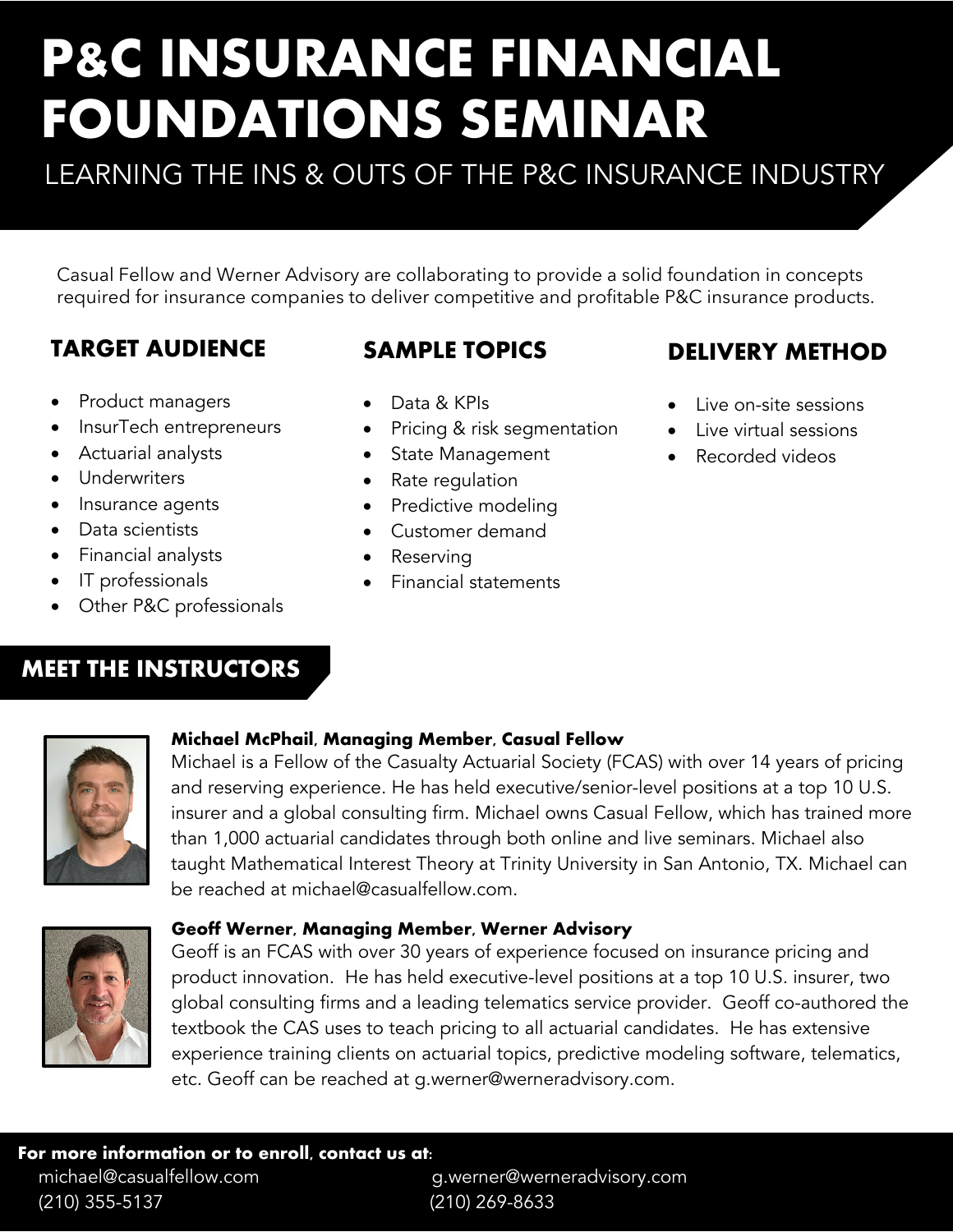# **P&C INSURANCE FINANCIAL FOUNDATIONS SEMINAR**

LEARNING THE INS & OUTS OF THE P&C INSURANCE INDUSTRY

Casual Fellow and Werner Advisory are collaborating to provide a solid foundation in concepts required for insurance companies to deliver competitive and profitable P&C insurance products.

# **TARGET AUDIENCE**

#### **SAMPLE TOPICS**

- Product managers
- InsurTech entrepreneurs
- Actuarial analysts
- Underwriters
- Insurance agents
- Data scientists
- Financial analysts
- IT professionals
- Other P&C professionals
- Data & KPIs
- Pricing & risk segmentation
- State Management
- Rate regulation
- Predictive modeling
- Customer demand
- Reserving
- Financial statements

# **DELIVERY METHOD**

- Live on-site sessions
- Live virtual sessions
- Recorded videos

# **MEET THE INSTRUCTORS**



#### **Michael McPhail, Managing Member, Casual Fellow**

Michael is a Fellow of the Casualty Actuarial Society (FCAS) with over 14 years of pricing and reserving experience. He has held executive/senior-level positions at a top 10 U.S. insurer and a global consulting firm. Michael owns Casual Fellow, which has trained more than 1,000 actuarial candidates through both online and live seminars. Michael also taught Mathematical Interest Theory at Trinity University in San Antonio, TX. Michael can be reached at michael@casualfellow.com.



#### **Geoff Werner, Managing Member, Werner Advisory**

Geoff is an FCAS with over 30 years of experience focused on insurance pricing and product innovation. He has held executive-level positions at a top 10 U.S. insurer, two global consulting firms and a leading telematics service provider. Geoff co-authored the textbook the CAS uses to teach pricing to all actuarial candidates. He has extensive experience training clients on actuarial topics, predictive modeling software, telematics, etc. Geoff can be reached at g.werner@werneradvisory.com.

 **For more information or to enroll, contact us at:** michael@casualfellow.com g.werner@werneradvisory.com (210) 355-5137 (210) 269-8633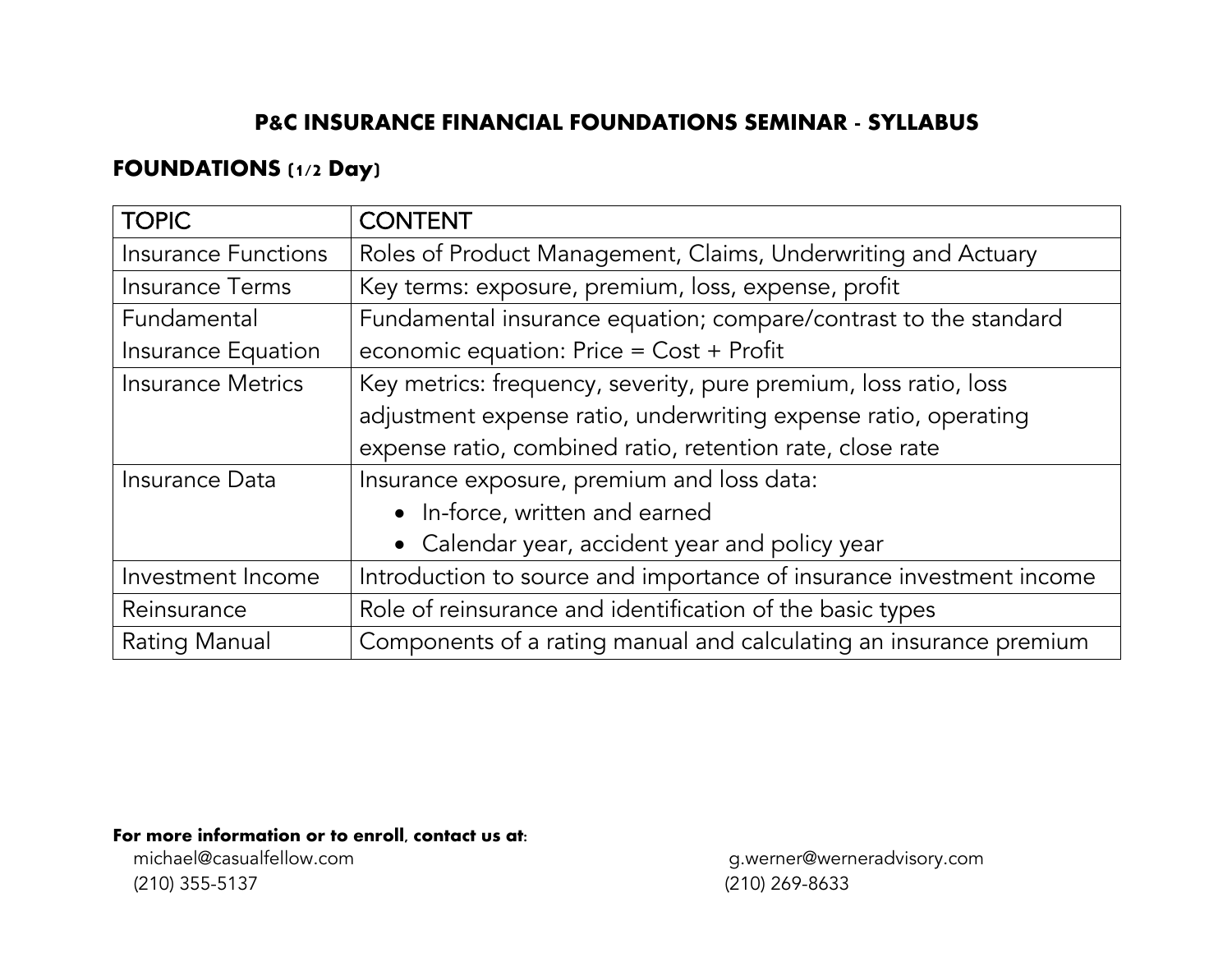#### **P&C INSURANCE FINANCIAL FOUNDATIONS SEMINAR - SYLLABUS**

## **FOUNDATIONS (1/2 Day)**

| <b>TOPIC</b>               | <b>CONTENT</b>                                                       |
|----------------------------|----------------------------------------------------------------------|
| <b>Insurance Functions</b> | Roles of Product Management, Claims, Underwriting and Actuary        |
| <b>Insurance Terms</b>     | Key terms: exposure, premium, loss, expense, profit                  |
| Fundamental                | Fundamental insurance equation; compare/contrast to the standard     |
| Insurance Equation         | economic equation: $Price = Cost + Profit$                           |
| <b>Insurance Metrics</b>   | Key metrics: frequency, severity, pure premium, loss ratio, loss     |
|                            | adjustment expense ratio, underwriting expense ratio, operating      |
|                            | expense ratio, combined ratio, retention rate, close rate            |
| Insurance Data             | Insurance exposure, premium and loss data:                           |
|                            | • In-force, written and earned                                       |
|                            | • Calendar year, accident year and policy year                       |
| Investment Income          | Introduction to source and importance of insurance investment income |
| Reinsurance                | Role of reinsurance and identification of the basic types            |
| Rating Manual              | Components of a rating manual and calculating an insurance premium   |

**For more information or to enroll, contact us at:**<br>michael@casualfellow.com

(210) 355-5137 (210) 269-8633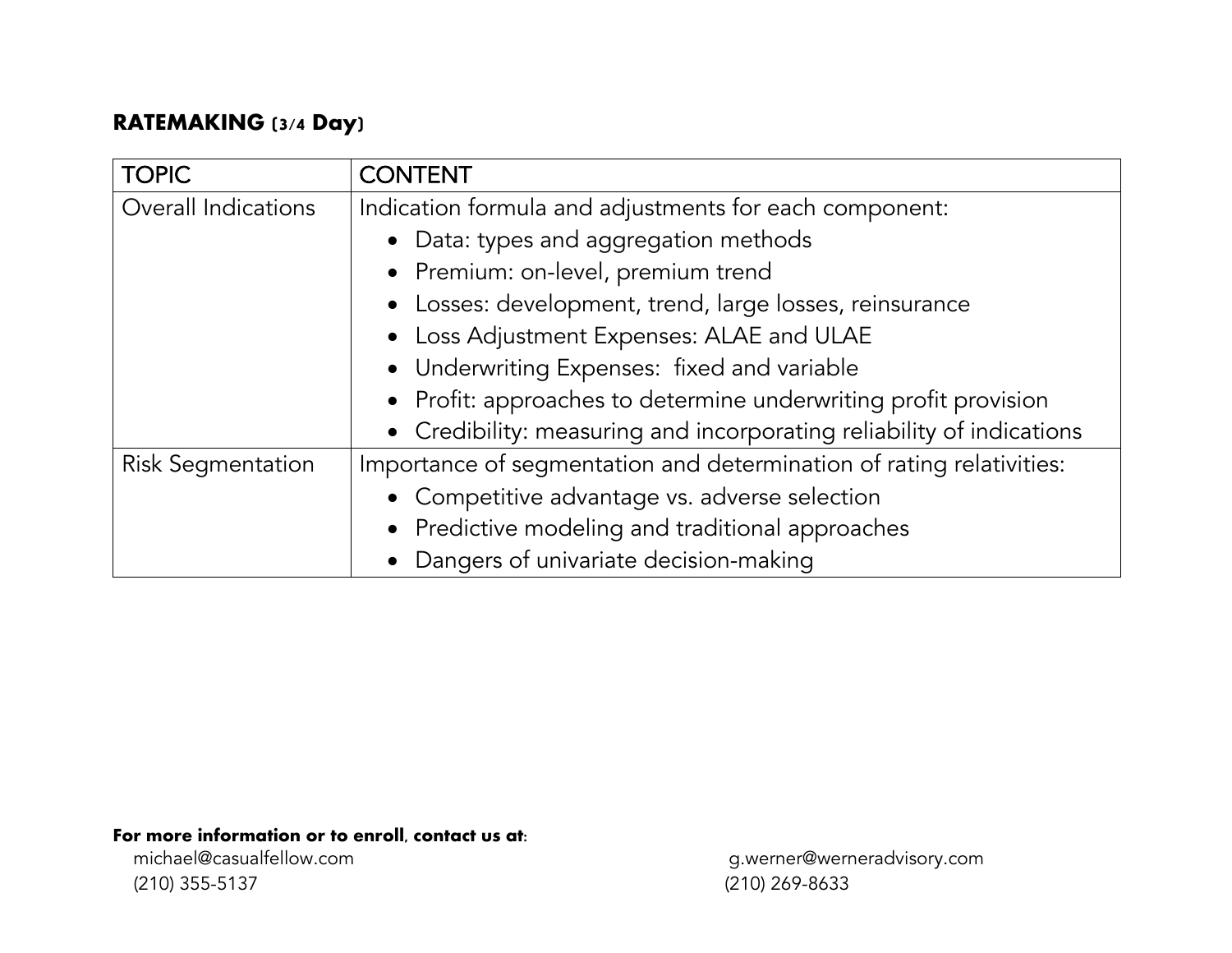## **RATEMAKING (3/4 Day)**

| <b>TOPIC</b>             | <b>CONTENT</b>                                                        |
|--------------------------|-----------------------------------------------------------------------|
| Overall Indications      | Indication formula and adjustments for each component:                |
|                          | • Data: types and aggregation methods                                 |
|                          | • Premium: on-level, premium trend                                    |
|                          | • Losses: development, trend, large losses, reinsurance               |
|                          | • Loss Adjustment Expenses: ALAE and ULAE                             |
|                          | • Underwriting Expenses: fixed and variable                           |
|                          | • Profit: approaches to determine underwriting profit provision       |
|                          | • Credibility: measuring and incorporating reliability of indications |
| <b>Risk Segmentation</b> | Importance of segmentation and determination of rating relativities:  |
|                          | • Competitive advantage vs. adverse selection                         |
|                          | • Predictive modeling and traditional approaches                      |
|                          | • Dangers of univariate decision-making                               |

**For more information or to enroll, contact us at:**<br>michael@casualfellow.com

(210) 355-5137 (210) 269-8633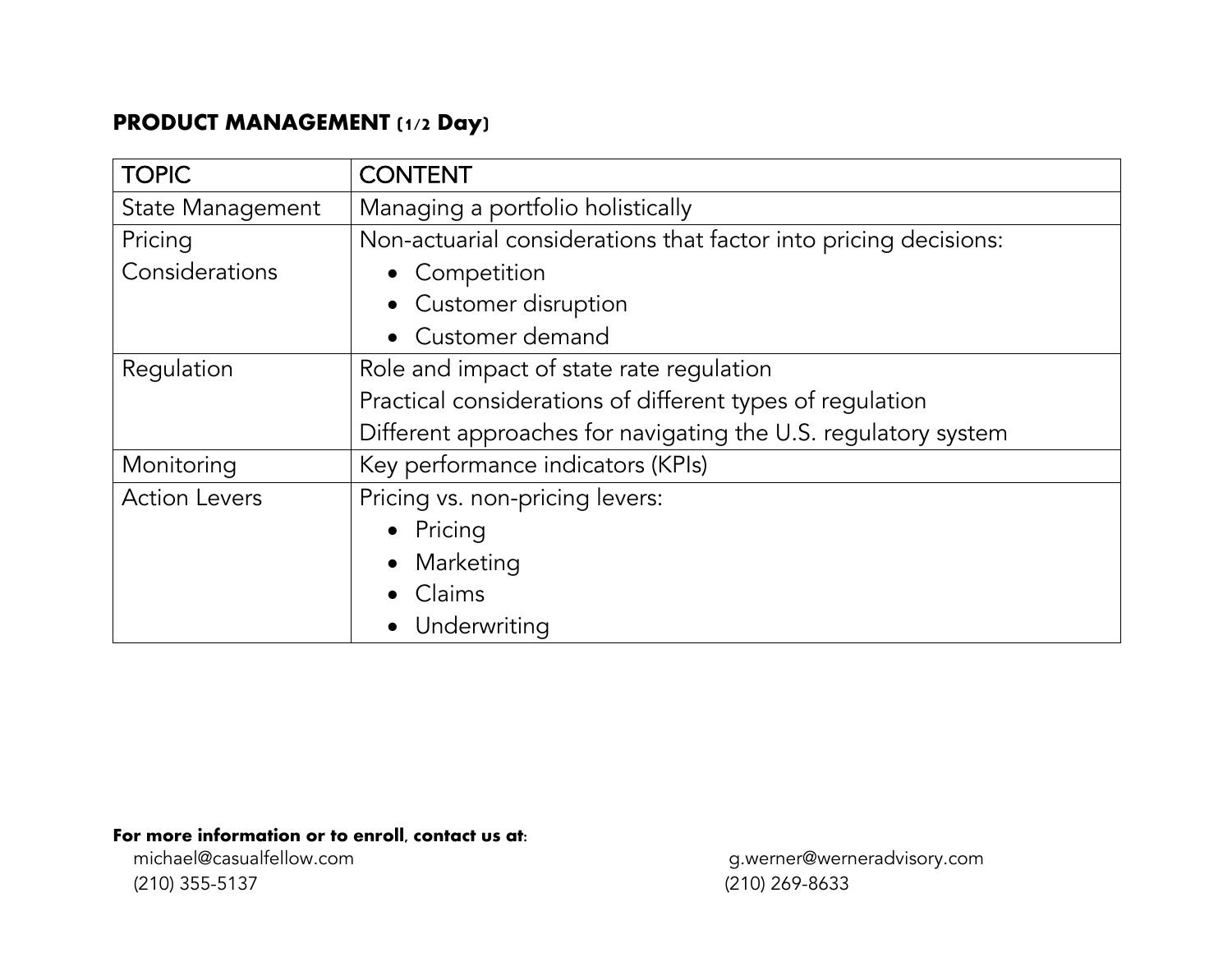# **PRODUCT MANAGEMENT (1/2 Day)**

| <b>TOPIC</b>            | <b>CONTENT</b>                                                   |
|-------------------------|------------------------------------------------------------------|
| <b>State Management</b> | Managing a portfolio holistically                                |
| Pricing                 | Non-actuarial considerations that factor into pricing decisions: |
| Considerations          | • Competition                                                    |
|                         | • Customer disruption                                            |
|                         | Customer demand                                                  |
| Regulation              | Role and impact of state rate regulation                         |
|                         | Practical considerations of different types of regulation        |
|                         | Different approaches for navigating the U.S. regulatory system   |
| Monitoring              | Key performance indicators (KPIs)                                |
| <b>Action Levers</b>    | Pricing vs. non-pricing levers:                                  |
|                         | • Pricing                                                        |
|                         | • Marketing                                                      |
|                         | Claims                                                           |
|                         | • Underwriting                                                   |

# **For more information or to enroll, contact us at:**<br>michael@casualfellow.com

(210) 355-5137 (210) 269-8633